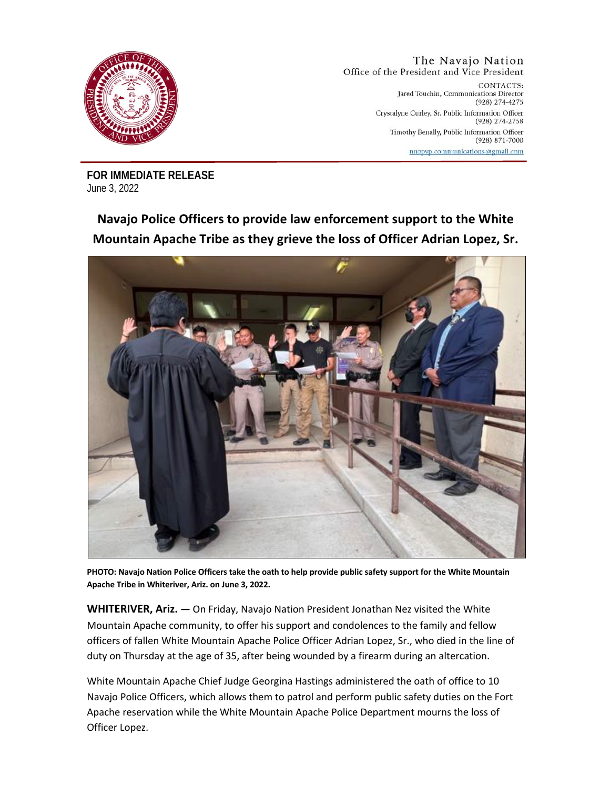

## The Navajo Nation Office of the President and Vice President

CONTACTS: Jared Touchin, Communications Director (928) 274-4275 Crystalyne Curley, Sr. Public Information Officer (928) 274-2758 Timothy Benally, Public Information Officer (928) 871-7000 nnopyp.communications@gmail.com

**FOR IMMEDIATE RELEASE** June 3, 2022

## **Navajo Police Officers to provide law enforcement support to the White Mountain Apache Tribe as they grieve the loss of Officer Adrian Lopez, Sr.**



**PHOTO: Navajo Nation Police Officers take the oath to help provide public safety support for the White Mountain Apache Tribe in Whiteriver, Ariz. on June 3, 2022.**

**WHITERIVER, Ariz. —** On Friday, Navajo Nation President Jonathan Nez visited the White Mountain Apache community, to offer his support and condolences to the family and fellow officers of fallen White Mountain Apache Police Officer Adrian Lopez, Sr., who died in the line of duty on Thursday at the age of 35, after being wounded by a firearm during an altercation.

White Mountain Apache Chief Judge Georgina Hastings administered the oath of office to 10 Navajo Police Officers, which allows them to patrol and perform public safety duties on the Fort Apache reservation while the White Mountain Apache Police Department mourns the loss of Officer Lopez.